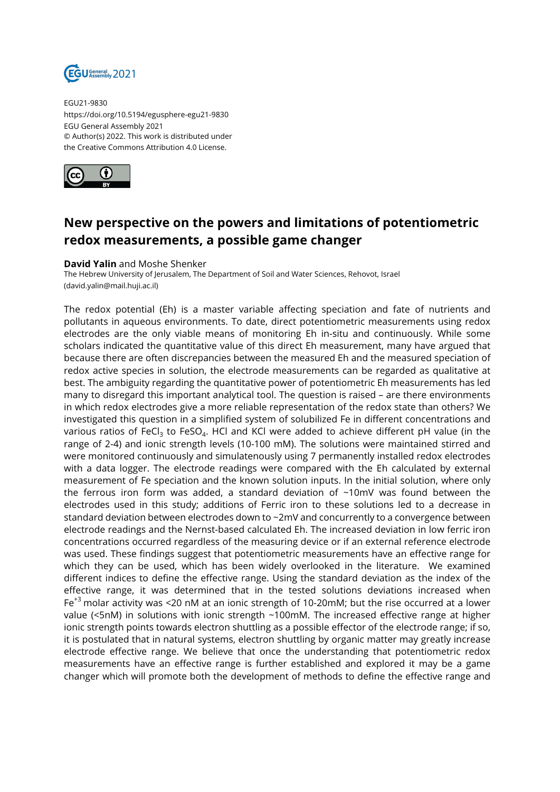

EGU21-9830 https://doi.org/10.5194/egusphere-egu21-9830 EGU General Assembly 2021 © Author(s) 2022. This work is distributed under the Creative Commons Attribution 4.0 License.



## **New perspective on the powers and limitations of potentiometric redox measurements, a possible game changer**

## **David Yalin** and Moshe Shenker

The Hebrew University of Jerusalem, The Department of Soil and Water Sciences, Rehovot, Israel (david.yalin@mail.huji.ac.il)

The redox potential (Eh) is a master variable affecting speciation and fate of nutrients and pollutants in aqueous environments. To date, direct potentiometric measurements using redox electrodes are the only viable means of monitoring Eh in-situ and continuously. While some scholars indicated the quantitative value of this direct Eh measurement, many have argued that because there are often discrepancies between the measured Eh and the measured speciation of redox active species in solution, the electrode measurements can be regarded as qualitative at best. The ambiguity regarding the quantitative power of potentiometric Eh measurements has led many to disregard this important analytical tool. The question is raised – are there environments in which redox electrodes give a more reliable representation of the redox state than others? We investigated this question in a simplified system of solubilized Fe in different concentrations and various ratios of FeCl $_3$  to FeSO $_4$ . HCl and KCl were added to achieve different pH value (in the range of 2-4) and ionic strength levels (10-100 mM). The solutions were maintained stirred and were monitored continuously and simulatenously using 7 permanently installed redox electrodes with a data logger. The electrode readings were compared with the Eh calculated by external measurement of Fe speciation and the known solution inputs. In the initial solution, where only the ferrous iron form was added, a standard deviation of ~10mV was found between the electrodes used in this study; additions of Ferric iron to these solutions led to a decrease in standard deviation between electrodes down to ~2mV and concurrently to a convergence between electrode readings and the Nernst-based calculated Eh. The increased deviation in low ferric iron concentrations occurred regardless of the measuring device or if an external reference electrode was used. These findings suggest that potentiometric measurements have an effective range for which they can be used, which has been widely overlooked in the literature. We examined different indices to define the effective range. Using the standard deviation as the index of the effective range, it was determined that in the tested solutions deviations increased when  $Fe<sup>+3</sup>$  molar activity was <20 nM at an ionic strength of 10-20mM; but the rise occurred at a lower value (<5nM) in solutions with ionic strength ~100mM. The increased effective range at higher ionic strength points towards electron shuttling as a possible effector of the electrode range; if so, it is postulated that in natural systems, electron shuttling by organic matter may greatly increase electrode effective range. We believe that once the understanding that potentiometric redox measurements have an effective range is further established and explored it may be a game changer which will promote both the development of methods to define the effective range and